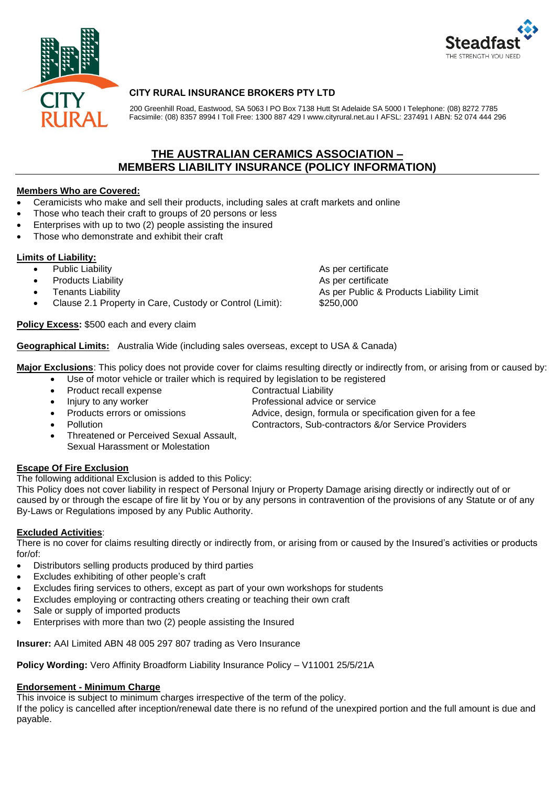



# **CITY RURAL INSURANCE BROKERS PTY LTD**

200 Greenhill Road, Eastwood, SA 5063 I PO Box 7138 Hutt St Adelaide SA 5000 I Telephone: (08) 8272 7785 Facsimile: (08) 8357 8994 I Toll Free: 1300 887 429 I www.cityrural.net.au I AFSL: 237491 I ABN: 52 074 444 296

# **THE AUSTRALIAN CERAMICS ASSOCIATION – MEMBERS LIABILITY INSURANCE (POLICY INFORMATION)**

## **Members Who are Covered:**

- Ceramicists who make and sell their products, including sales at craft markets and online
- Those who teach their craft to groups of 20 persons or less
- Enterprises with up to two (2) people assisting the insured
- Those who demonstrate and exhibit their craft

# **Limits of Liability:**

- 
- **Products Liability As per certificate As per certificate**
- 
- Clause 2.1 Property in Care, Custody or Control (Limit): \$250,000

### **Policy Excess:** \$500 each and every claim

Public Liability **As per certificate** As per certificate • Tenants Liability **As per Public & Products Liability Limit** As per Public & Products Liability Limit

**Geographical Limits:** Australia Wide (including sales overseas, except to USA & Canada)

Major Exclusions: This policy does not provide cover for claims resulting directly or indirectly from, or arising from or caused by:

- Use of motor vehicle or trailer which is required by legislation to be registered
- **Product recall expense** Contractual Liability
- Injury to any worker **Exercise 20** Professional advice or service
- 
- 

Products errors or omissions Advice, design, formula or specification given for a fee • Pollution Contractors, Sub-contractors &/or Service Providers

• Threatened or Perceived Sexual Assault, Sexual Harassment or Molestation

# **Escape Of Fire Exclusion**

The following additional Exclusion is added to this Policy:

This Policy does not cover liability in respect of Personal Injury or Property Damage arising directly or indirectly out of or caused by or through the escape of fire lit by You or by any persons in contravention of the provisions of any Statute or of any By-Laws or Regulations imposed by any Public Authority.

### **Excluded Activities**:

There is no cover for claims resulting directly or indirectly from, or arising from or caused by the Insured's activities or products for/of:

- Distributors selling products produced by third parties
- Excludes exhibiting of other people's craft
- Excludes firing services to others, except as part of your own workshops for students
- Excludes employing or contracting others creating or teaching their own craft
- Sale or supply of imported products
- Enterprises with more than two (2) people assisting the Insured

**Insurer:** AAI Limited ABN 48 005 297 807 trading as Vero Insurance

**Policy Wording:** Vero Affinity Broadform Liability Insurance Policy – V11001 25/5/21A

### **Endorsement - Minimum Charge**

This invoice is subject to minimum charges irrespective of the term of the policy.

If the policy is cancelled after inception/renewal date there is no refund of the unexpired portion and the full amount is due and payable.